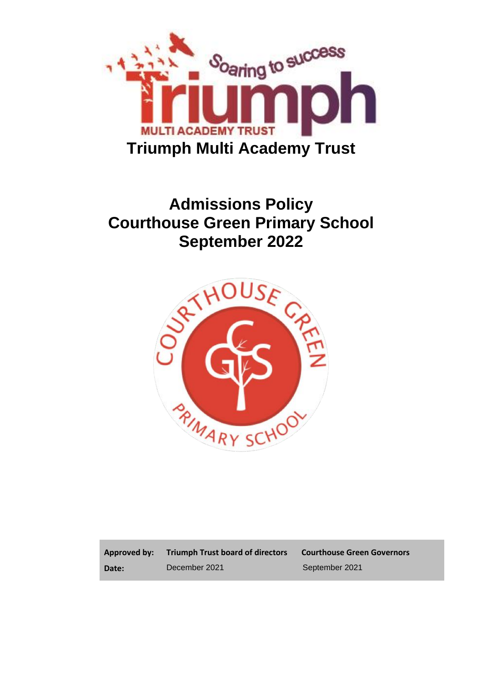

# **Admissions Policy Courthouse Green Primary School September 2022**



**Approved by: Date:**

**Triumph Trust board of directors Courthouse Green Governors**

December 2021 September 2021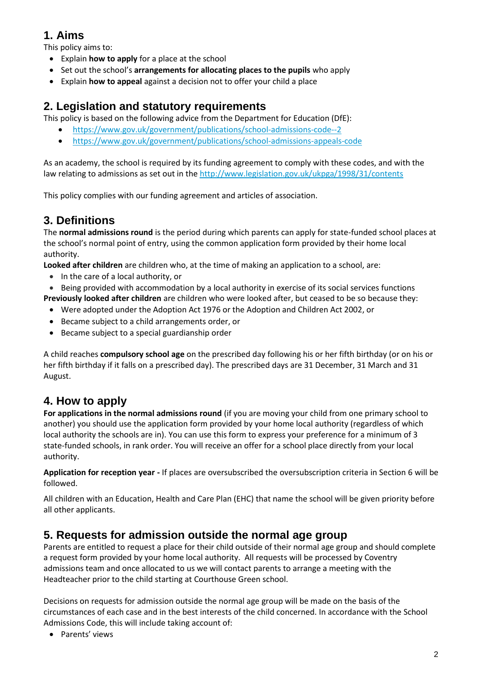## **1. Aims**

This policy aims to:

- Explain **how to apply** for a place at the school
- Set out the school's **arrangements for allocating places to the pupils** who apply
- Explain **how to appeal** against a decision not to offer your child a place

## **2. Legislation and statutory requirements**

This policy is based on the following advice from the Department for Education (DfE):

- <https://www.gov.uk/government/publications/school-admissions-code--2>
- <https://www.gov.uk/government/publications/school-admissions-appeals-code>

As an academy, the school is required by its funding agreement to comply with these codes, and with the law relating to admissions as set out in th[e http://www.legislation.gov.uk/ukpga/1998/31/contents](http://www.legislation.gov.uk/ukpga/1998/31/contents)

This policy complies with our funding agreement and articles of association.

# **3. Definitions**

The **normal admissions round** is the period during which parents can apply for state-funded school places at the school's normal point of entry, using the common application form provided by their home local authority.

**Looked after children** are children who, at the time of making an application to a school, are:

- In the care of a local authority, or
- Being provided with accommodation by a local authority in exercise of its social services functions

**Previously looked after children** are children who were looked after, but ceased to be so because they:

- Were adopted under the Adoption Act 1976 or the Adoption and Children Act 2002, or
- Became subject to a child arrangements order, or
- Became subject to a special guardianship order

A child reaches **compulsory school age** on the prescribed day following his or her fifth birthday (or on his or her fifth birthday if it falls on a prescribed day). The prescribed days are 31 December, 31 March and 31 August.

### **4. How to apply**

**For applications in the normal admissions round** (if you are moving your child from one primary school to another) you should use the application form provided by your home local authority (regardless of which local authority the schools are in). You can use this form to express your preference for a minimum of 3 state-funded schools, in rank order. You will receive an offer for a school place directly from your local authority.

**Application for reception year -** If places are oversubscribed the oversubscription criteria in Section 6 will be followed.

All children with an Education, Health and Care Plan (EHC) that name the school will be given priority before all other applicants.

### **5. Requests for admission outside the normal age group**

Parents are entitled to request a place for their child outside of their normal age group and should complete a request form provided by your home local authority. All requests will be processed by Coventry admissions team and once allocated to us we will contact parents to arrange a meeting with the Headteacher prior to the child starting at Courthouse Green school.

Decisions on requests for admission outside the normal age group will be made on the basis of the circumstances of each case and in the best interests of the child concerned. In accordance with the School Admissions Code, this will include taking account of:

• Parents' views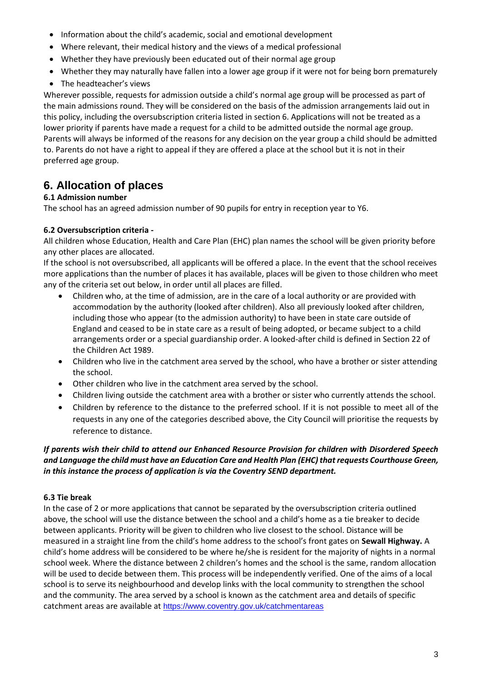- Information about the child's academic, social and emotional development
- Where relevant, their medical history and the views of a medical professional
- Whether they have previously been educated out of their normal age group
- Whether they may naturally have fallen into a lower age group if it were not for being born prematurely
- The headteacher's views

Wherever possible, requests for admission outside a child's normal age group will be processed as part of the main admissions round. They will be considered on the basis of the admission arrangements laid out in this policy, including the oversubscription criteria listed in section 6. Applications will not be treated as a lower priority if parents have made a request for a child to be admitted outside the normal age group. Parents will always be informed of the reasons for any decision on the year group a child should be admitted to. Parents do not have a right to appeal if they are offered a place at the school but it is not in their preferred age group.

### **6. Allocation of places**

#### **6.1 Admission number**

The school has an agreed admission number of 90 pupils for entry in reception year to Y6.

#### **6.2 Oversubscription criteria -**

All children whose Education, Health and Care Plan (EHC) plan names the school will be given priority before any other places are allocated.

If the school is not oversubscribed, all applicants will be offered a place. In the event that the school receives more applications than the number of places it has available, places will be given to those children who meet any of the criteria set out below, in order until all places are filled.

- Children who, at the time of admission, are in the care of a local authority or are provided with accommodation by the authority (looked after children). Also all previously looked after children, including those who appear (to the admission authority) to have been in state care outside of England and ceased to be in state care as a result of being adopted, or became subject to a child arrangements order or a special guardianship order. A looked-after child is defined in Section 22 of the Children Act 1989.
- Children who live in the catchment area served by the school, who have a brother or sister attending the school.
- Other children who live in the catchment area served by the school.
- Children living outside the catchment area with a brother or sister who currently attends the school.
- Children by reference to the distance to the preferred school. If it is not possible to meet all of the requests in any one of the categories described above, the City Council will prioritise the requests by reference to distance.

#### *If parents wish their child to attend our Enhanced Resource Provision for children with Disordered Speech and Language the child must have an Education Care and Health Plan (EHC) that requests Courthouse Green, in this instance the process of application is via the Coventry SEND department.*

#### **6.3 Tie break**

In the case of 2 or more applications that cannot be separated by the oversubscription criteria outlined above, the school will use the distance between the school and a child's home as a tie breaker to decide between applicants. Priority will be given to children who live closest to the school. Distance will be measured in a straight line from the child's home address to the school's front gates on **Sewall Highway.** A child's home address will be considered to be where he/she is resident for the majority of nights in a normal school week. Where the distance between 2 children's homes and the school is the same, random allocation will be used to decide between them. This process will be independently verified. One of the aims of a local school is to serve its neighbourhood and develop links with the local community to strengthen the school and the community. The area served by a school is known as the catchment area and details of specific catchment areas are available at <https://www.coventry.gov.uk/catchmentareas>